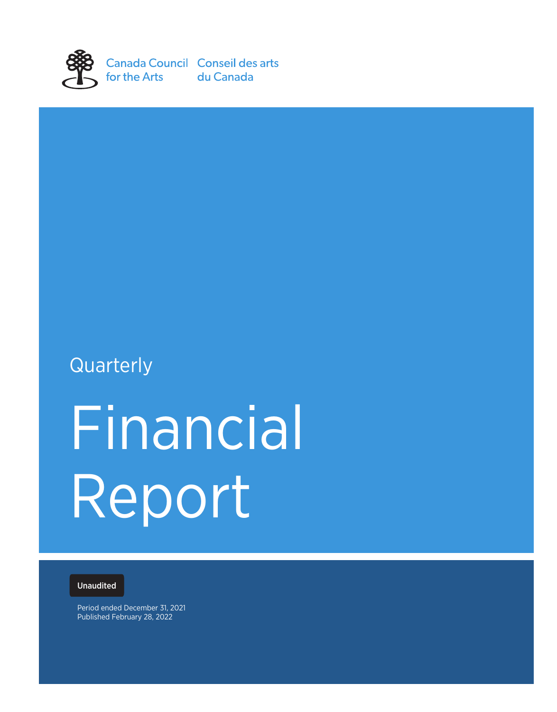

# **Quarterly**

# Financial Report

Unaudited

Period ended December 31, 2021 Published February 28, 2022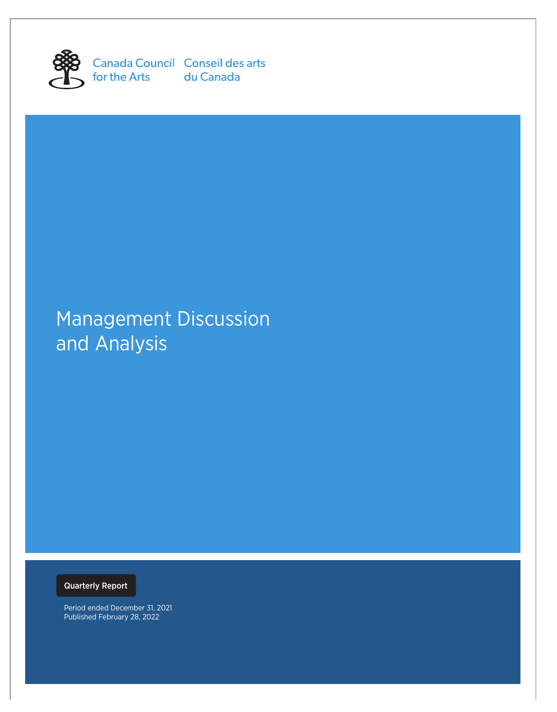

for the Arts

Canada Council Conseil des arts du Canada

# Management Discussion and Analysis

Quarterly Report

Period ended December 31, 2021 Published February 28, 2022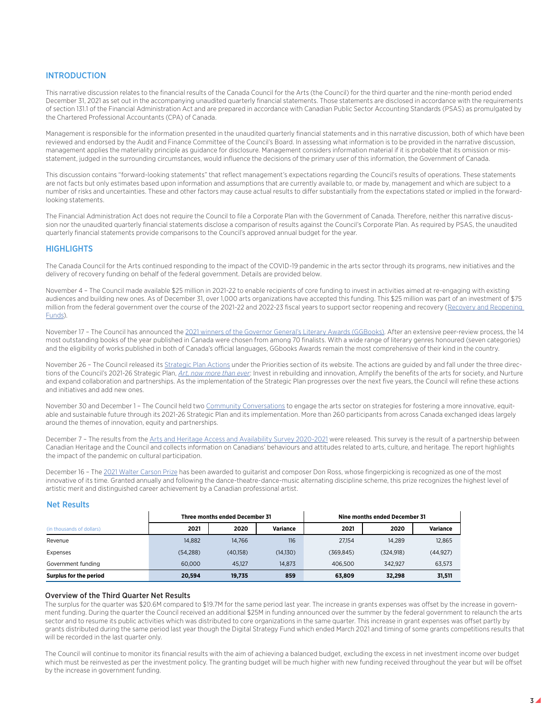# INTRODUCTION

This narrative discussion relates to the financial results of the Canada Council for the Arts (the Council) for the third quarter and the nine-month period ended December 31, 2021 as set out in the accompanying unaudited quarterly financial statements. Those statements are disclosed in accordance with the requirements of section 131.1 of the Financial Administration Act and are prepared in accordance with Canadian Public Sector Accounting Standards (PSAS) as promulgated by the Chartered Professional Accountants (CPA) of Canada.

Management is responsible for the information presented in the unaudited quarterly financial statements and in this narrative discussion, both of which have been reviewed and endorsed by the Audit and Finance Committee of the Council's Board. In assessing what information is to be provided in the narrative discussion, management applies the materiality principle as guidance for disclosure. Management considers information material if it is probable that its omission or misstatement, judged in the surrounding circumstances, would influence the decisions of the primary user of this information, the Government of Canada.

This discussion contains "forward-looking statements" that reflect management's expectations regarding the Council's results of operations. These statements are not facts but only estimates based upon information and assumptions that are currently available to, or made by, management and which are subject to a number of risks and uncertainties. These and other factors may cause actual results to differ substantially from the expectations stated or implied in the forwardlooking statements.

The Financial Administration Act does not require the Council to file a Corporate Plan with the Government of Canada. Therefore, neither this narrative discussion nor the unaudited quarterly financial statements disclose a comparison of results against the Council's Corporate Plan. As required by PSAS, the unaudited quarterly financial statements provide comparisons to the Council's approved annual budget for the year.

## **HIGHLIGHTS**

The Canada Council for the Arts continued responding to the impact of the COVID-19 pandemic in the arts sector through its programs, new initiatives and the delivery of recovery funding on behalf of the federal government. Details are provided below.

November 4 – The Council made available \$25 million in 2021-22 to enable recipients of core funding to invest in activities aimed at re-engaging with existing audiences and building new ones. As of December 31, over 1,000 arts organizations have accepted this funding. This \$25 million was part of an investment of \$75 million from the federal government over the course of the 2021-22 and 2022-23 fiscal years to support sector reopening and recovery (Recovery and Reopening Funds).

November 17 - The Council has announced the 2021 winners of the Governor General's Literary Awards (GGBooks). After an extensive peer-review process, the 14 most outstanding books of the year published in Canada were chosen from among 70 finalists. With a wide range of literary genres honoured (seven categories) and the eligibility of works published in both of Canada's official languages, GGbooks Awards remain the most comprehensive of their kind in the country.

November 26 - The Council released its Strategic Plan Actions under the Priorities section of its website. The actions are guided by and fall under the three directions of the Council's 2021-26 Strategic Plan, *Art, now more than ever*: Invest in rebuilding and innovation, Amplify the benefits of the arts for society, and Nurture and expand collaboration and partnerships. As the implementation of the Strategic Plan progresses over the next five years, the Council will refine these actions and initiatives and add new ones.

November 30 and December 1 – The Council held two Community Conversations to engage the arts sector on strategies for fostering a more innovative, equitable and sustainable future through its 2021-26 Strategic Plan and its implementation. More than 260 participants from across Canada exchanged ideas largely around the themes of innovation, equity and partnerships.

December 7 - The results from the Arts and Heritage Access and Availability Survey 2020-2021 were released. This survey is the result of a partnership between Canadian Heritage and the Council and collects information on Canadians' behaviours and attitudes related to arts, culture, and heritage. The report highlights the impact of the pandemic on cultural participation.

December 16 – The 2021 Walter Carson Prize has been awarded to guitarist and composer Don Ross, whose fingerpicking is recognized as one of the most innovative of its time. Granted annually and following the dance-theatre-dance-music alternating discipline scheme, this prize recognizes the highest level of artistic merit and distinguished career achievement by a Canadian professional artist.

#### Net Results

|                           | Three months ended December 31 |          |           | Nine months ended December 31 |           |           |  |  |  |
|---------------------------|--------------------------------|----------|-----------|-------------------------------|-----------|-----------|--|--|--|
| (in thousands of dollars) | 2021                           | 2020     | Variance  | 2021                          | 2020      | Variance  |  |  |  |
| Revenue                   | 14.882                         | 14.766   | 116       | 27.154                        | 14.289    | 12.865    |  |  |  |
| Expenses                  | (54, 288)                      | (40.158) | (14, 130) | (369.845)                     | (324.918) | (44, 927) |  |  |  |
| Government funding        | 60.000                         | 45.127   | 14.873    | 406.500                       | 342.927   | 63,573    |  |  |  |
| Surplus for the period    | 20,594                         | 19,735   | 859       | 63.809                        | 32,298    | 31,511    |  |  |  |

#### Overview of the Third Quarter Net Results

The surplus for the quarter was \$20.6M compared to \$19.7M for the same period last year. The increase in grants expenses was offset by the increase in government funding. During the quarter the Council received an additional \$25M in funding announced over the summer by the federal government to relaunch the arts sector and to resume its public activities which was distributed to core organizations in the same quarter. This increase in grant expenses was offset partly by grants distributed during the same period last year though the Digital Strategy Fund which ended March 2021 and timing of some grants competitions results that will be recorded in the last quarter only.

The Council will continue to monitor its financial results with the aim of achieving a balanced budget, excluding the excess in net investment income over budget which must be reinvested as per the investment policy. The granting budget will be much higher with new funding received throughout the year but will be offset by the increase in government funding.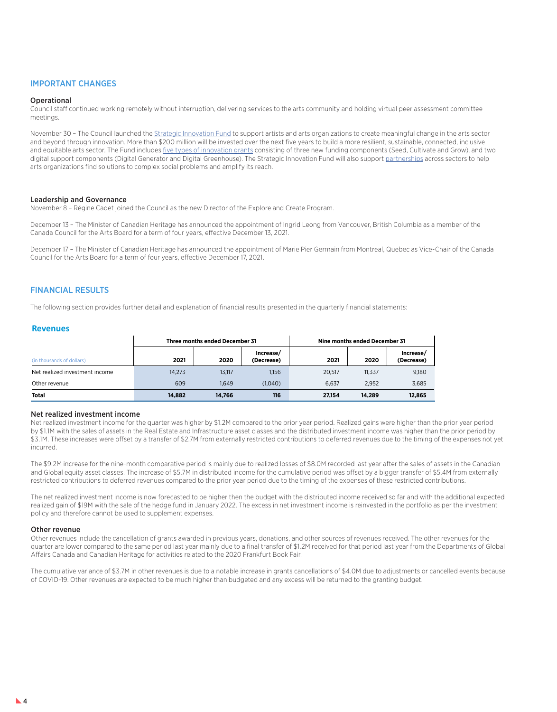# IMPORTANT CHANGES

#### Operational

Council staff continued working remotely without interruption, delivering services to the arts community and holding virtual peer assessment committee meetings.

November 30 - The Council launched the *Strategic Innovation Fund* to support artists and arts organizations to create meaningful change in the arts sector and beyond through innovation. More than \$200 million will be invested over the next five years to build a more resilient, sustainable, connected, inclusive and equitable arts sector. The Fund includes five types of innovation grants consisting of three new funding components (Seed, Cultivate and Grow), and two digital support components (Digital Generator and Digital Greenhouse). The Strategic Innovation Fund will also support partnerships across sectors to help arts organizations find solutions to complex social problems and amplify its reach.

#### Leadership and Governance

November 8 – Régine Cadet joined the Council as the new Director of the Explore and Create Program.

December 13 – The Minister of Canadian Heritage has announced the appointment of Ingrid Leong from Vancouver, British Columbia as a member of the Canada Council for the Arts Board for a term of four years, effective December 13, 2021.

December 17 – The Minister of Canadian Heritage has announced the appointment of Marie Pier Germain from Montreal, Quebec as Vice-Chair of the Canada Council for the Arts Board for a term of four years, effective December 17, 2021.

#### FINANCIAL RESULTS

The following section provides further detail and explanation of financial results presented in the quarterly financial statements:

#### **Revenues**

|                                |        | Three months ended December 31 |                         | Nine months ended December 31 |        |                         |  |  |
|--------------------------------|--------|--------------------------------|-------------------------|-------------------------------|--------|-------------------------|--|--|
| (in thousands of dollars)      | 2021   | 2020                           | Increase/<br>(Decrease) | 2021                          | 2020   | Increase/<br>(Decrease) |  |  |
| Net realized investment income | 14.273 | 13.117                         | 1.156                   | 20.517                        | 11.337 | 9,180                   |  |  |
| Other revenue                  | 609    | 1.649                          | (1,040)                 | 6.637                         | 2.952  | 3,685                   |  |  |
| <b>Total</b>                   | 14,882 | 14.766                         | 116                     | 27,154                        | 14,289 | 12,865                  |  |  |

#### Net realized investment income

Net realized investment income for the quarter was higher by \$1.2M compared to the prior year period. Realized gains were higher than the prior year period by \$1.1M with the sales of assets in the Real Estate and Infrastructure asset classes and the distributed investment income was higher than the prior period by \$3.1M. These increases were offset by a transfer of \$2.7M from externally restricted contributions to deferred revenues due to the timing of the expenses not yet incurred.

The \$9.2M increase for the nine-month comparative period is mainly due to realized losses of \$8.0M recorded last year after the sales of assets in the Canadian and Global equity asset classes. The increase of \$5.7M in distributed income for the cumulative period was offset by a bigger transfer of \$5.4M from externally restricted contributions to deferred revenues compared to the prior year period due to the timing of the expenses of these restricted contributions.

The net realized investment income is now forecasted to be higher then the budget with the distributed income received so far and with the additional expected realized gain of \$19M with the sale of the hedge fund in January 2022. The excess in net investment income is reinvested in the portfolio as per the investment policy and therefore cannot be used to supplement expenses.

#### Other revenue

Other revenues include the cancellation of grants awarded in previous years, donations, and other sources of revenues received. The other revenues for the quarter are lower compared to the same period last year mainly due to a final transfer of \$1.2M received for that period last year from the Departments of Global Affairs Canada and Canadian Heritage for activities related to the 2020 Frankfurt Book Fair.

The cumulative variance of \$3.7M in other revenues is due to a notable increase in grants cancellations of \$4.0M due to adjustments or cancelled events because of COVID-19. Other revenues are expected to be much higher than budgeted and any excess will be returned to the granting budget.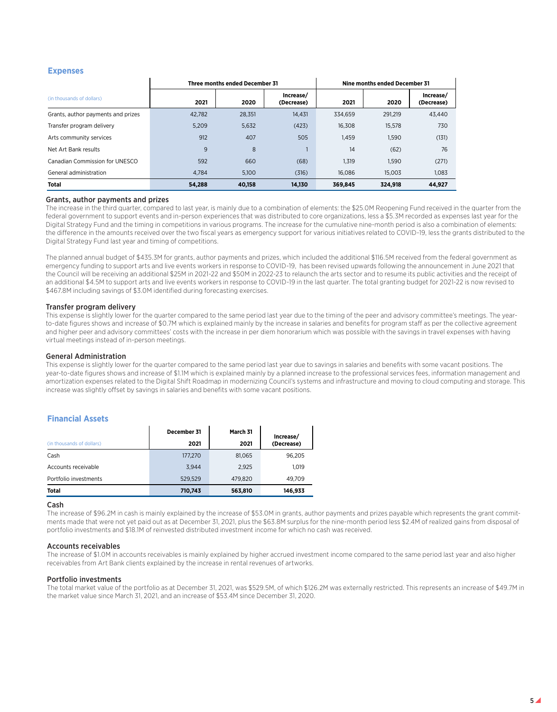#### **Expenses**

|                                    | Three months ended December 31 |        |                         |         | Nine months ended December 31 |                         |
|------------------------------------|--------------------------------|--------|-------------------------|---------|-------------------------------|-------------------------|
| (in thousands of dollars)          | 2021                           | 2020   | Increase/<br>(Decrease) | 2021    | 2020                          | Increase/<br>(Decrease) |
| Grants, author payments and prizes | 42.782                         | 28.351 | 14.431                  | 334.659 | 291.219                       | 43.440                  |
| Transfer program delivery          | 5,209                          | 5,632  | (423)                   | 16,308  | 15.578                        | 730                     |
| Arts community services            | 912                            | 407    | 505                     | 1.459   | 1.590                         | (131)                   |
| Net Art Bank results               | 9                              | 8      |                         | 14      | (62)                          | 76                      |
| Canadian Commission for UNESCO     | 592                            | 660    | (68)                    | 1.319   | 1.590                         | (271)                   |
| General administration             | 4.784                          | 5.100  | (316)                   | 16.086  | 15.003                        | 1,083                   |
| <b>Total</b>                       | 54.288                         | 40.158 | 14.130                  | 369.845 | 324.918                       | 44.927                  |

#### Grants, author payments and prizes

The increase in the third quarter, compared to last year, is mainly due to a combination of elements: the \$25.0M Reopening Fund received in the quarter from the federal government to support events and in-person experiences that was distributed to core organizations, less a \$5.3M recorded as expenses last year for the Digital Strategy Fund and the timing in competitions in various programs. The increase for the cumulative nine-month period is also a combination of elements: the difference in the amounts received over the two fiscal years as emergency support for various initiatives related to COVID-19, less the grants distributed to the Digital Strategy Fund last year and timing of competitions.

The planned annual budget of \$435.3M for grants, author payments and prizes, which included the additional \$116.5M received from the federal government as emergency funding to support arts and live events workers in response to COVID-19, has been revised upwards following the announcement in June 2021 that the Council will be receiving an additional \$25M in 2021-22 and \$50M in 2022-23 to relaunch the arts sector and to resume its public activities and the receipt of an additional \$4.5M to support arts and live events workers in response to COVID-19 in the last quarter. The total granting budget for 2021-22 is now revised to \$467.8M including savings of \$3.0M identified during forecasting exercises.

#### Transfer program delivery

This expense is slightly lower for the quarter compared to the same period last year due to the timing of the peer and advisory committee's meetings. The yearto-date figures shows and increase of \$0.7M which is explained mainly by the increase in salaries and benefits for program staff as per the collective agreement and higher peer and advisory committees' costs with the increase in per diem honorarium which was possible with the savings in travel expenses with having virtual meetings instead of in-person meetings.

#### General Administration

This expense is slightly lower for the quarter compared to the same period last year due to savings in salaries and benefits with some vacant positions. The year-to-date figures shows and increase of \$1.1M which is explained mainly by a planned increase to the professional services fees, information management and amortization expenses related to the Digital Shift Roadmap in modernizing Council's systems and infrastructure and moving to cloud computing and storage. This increase was slightly offset by savings in salaries and benefits with some vacant positions.

#### **Financial Assets**

|                           | December 31 | March 31 | Increase/  |
|---------------------------|-------------|----------|------------|
| (in thousands of dollars) | 2021        | 2021     | (Decrease) |
| Cash                      | 177,270     | 81.065   | 96,205     |
| Accounts receivable       | 3.944       | 2.925    | 1.019      |
| Portfolio investments     | 529.529     | 479,820  | 49.709     |
| <b>Total</b>              | 710,743     | 563,810  | 146,933    |

#### Cash

The increase of \$96.2M in cash is mainly explained by the increase of \$53.0M in grants, author payments and prizes payable which represents the grant commitments made that were not yet paid out as at December 31, 2021, plus the \$63.8M surplus for the nine-month period less \$2.4M of realized gains from disposal of portfolio investments and \$18.1M of reinvested distributed investment income for which no cash was received.

#### Accounts receivables

The increase of \$1.0M in accounts receivables is mainly explained by higher accrued investment income compared to the same period last year and also higher receivables from Art Bank clients explained by the increase in rental revenues of artworks.

#### Portfolio investments

The total market value of the portfolio as at December 31, 2021, was \$529.5M, of which \$126.2M was externally restricted. This represents an increase of \$49.7M in the market value since March 31, 2021, and an increase of \$53.4M since December 31, 2020.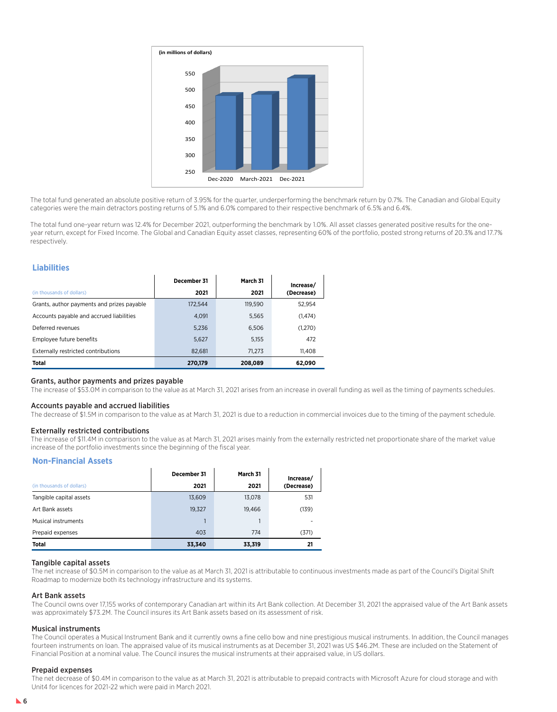

The total fund generated an absolute positive return of 3.95% for the quarter, underperforming the benchmark return by 0.7%. The Canadian and Global Equity categories were the main detractors posting returns of 5.1% and 6.0% compared to their respective benchmark of 6.5% and 6.4%.

The total fund one-year return was 12.4% for December 2021, outperforming the benchmark by 1.0%. All asset classes generated positive results for the oneyear return, except for Fixed Income. The Global and Canadian Equity asset classes, representing 60% of the portfolio, posted strong returns of 20.3% and 17.7% respectively.

#### **Liabilities**

|                                            | December 31 | March 31 | Increase/  |
|--------------------------------------------|-------------|----------|------------|
| (in thousands of dollars)                  | 2021        | 2021     | (Decrease) |
| Grants, author payments and prizes payable | 172.544     | 119.590  | 52.954     |
| Accounts payable and accrued liabilities   | 4.091       | 5.565    | (1,474)    |
| Deferred revenues                          | 5,236       | 6.506    | (1,270)    |
| Employee future benefits                   | 5.627       | 5.155    | 472        |
| Externally restricted contributions        | 82.681      | 71.273   | 11.408     |
| Total                                      | 270.179     | 208.089  | 62,090     |

#### Grants, author payments and prizes payable

The increase of \$53.0M in comparison to the value as at March 31, 2021 arises from an increase in overall funding as well as the timing of payments schedules.

#### Accounts payable and accrued liabilities

The decrease of \$1.5M in comparison to the value as at March 31, 2021 is due to a reduction in commercial invoices due to the timing of the payment schedule.

#### Externally restricted contributions

The increase of \$11.4M in comparison to the value as at March 31, 2021 arises mainly from the externally restricted net proportionate share of the market value increase of the portfolio investments since the beginning of the fiscal year.

#### **Non-Financial Assets**

|                           | December 31 | March 31 | Increase/  |
|---------------------------|-------------|----------|------------|
| (in thousands of dollars) | 2021        | 2021     | (Decrease) |
| Tangible capital assets   | 13,609      | 13,078   | 531        |
| Art Bank assets           | 19,327      | 19.466   | (139)      |
| Musical instruments       |             |          |            |
| Prepaid expenses          | 403         | 774      | (371)      |
| Total                     | 33,340      | 33,319   | 21         |

### Tangible capital assets

The net increase of \$0.5M in comparison to the value as at March 31, 2021 is attributable to continuous investments made as part of the Council's Digital Shift Roadmap to modernize both its technology infrastructure and its systems.

#### Art Bank assets

The Council owns over 17,155 works of contemporary Canadian art within its Art Bank collection. At December 31, 2021 the appraised value of the Art Bank assets was approximately \$73.2M. The Council insures its Art Bank assets based on its assessment of risk.

#### Musical instruments

The Council operates a Musical Instrument Bank and it currently owns a fine cello bow and nine prestigious musical instruments. In addition, the Council manages fourteen instruments on loan. The appraised value of its musical instruments as at December 31, 2021 was US \$46.2M. These are included on the Statement of Financial Position at a nominal value. The Council insures the musical instruments at their appraised value, in US dollars.

#### Prepaid expenses

The net decrease of \$0.4M in comparison to the value as at March 31, 2021 is attributable to prepaid contracts with Microsoft Azure for cloud storage and with Unit4 for licences for 2021-22 which were paid in March 2021.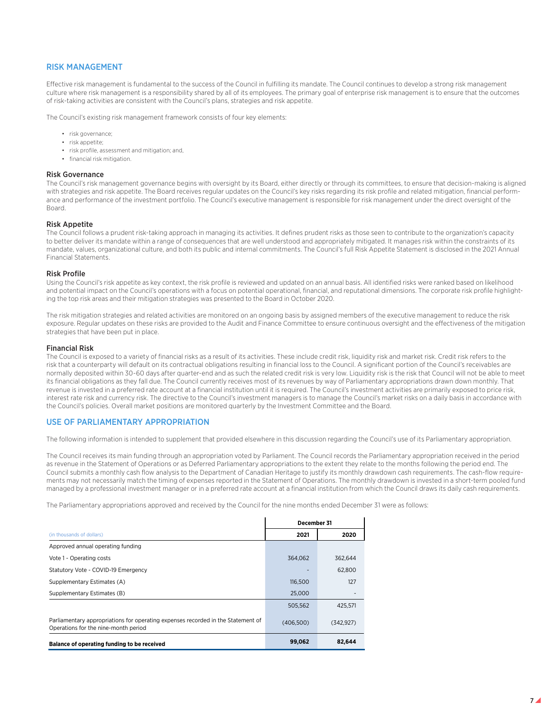# RISK MANAGEMENT

Effective risk management is fundamental to the success of the Council in fulfilling its mandate. The Council continues to develop a strong risk management culture where risk management is a responsibility shared by all of its employees. The primary goal of enterprise risk management is to ensure that the outcomes of risk-taking activities are consistent with the Council's plans, strategies and risk appetite.

The Council's existing risk management framework consists of four key elements:

- risk governance:
- risk appetite:
- risk profile, assessment and mitigation; and,
- financial risk mitigation.

#### Risk Governance

The Council's risk management governance begins with oversight by its Board, either directly or through its committees, to ensure that decision-making is aligned with strategies and risk appetite. The Board receives regular updates on the Council's key risks regarding its risk profile and related mitigation, financial performance and performance of the investment portfolio. The Council's executive management is responsible for risk management under the direct oversight of the Board.

#### Risk Appetite

The Council follows a prudent risk-taking approach in managing its activities. It defines prudent risks as those seen to contribute to the organization's capacity to better deliver its mandate within a range of consequences that are well understood and appropriately mitigated. It manages risk within the constraints of its mandate, values, organizational culture, and both its public and internal commitments. The Council's full Risk Appetite Statement is disclosed in the 2021 Annual Financial Statements.

#### Risk Profile

Using the Council's risk appetite as key context, the risk profile is reviewed and updated on an annual basis. All identified risks were ranked based on likelihood and potential impact on the Council's operations with a focus on potential operational, financial, and reputational dimensions. The corporate risk profile highlighting the top risk areas and their mitigation strategies was presented to the Board in October 2020.

The risk mitigation strategies and related activities are monitored on an ongoing basis by assigned members of the executive management to reduce the risk exposure. Regular updates on these risks are provided to the Audit and Finance Committee to ensure continuous oversight and the effectiveness of the mitigation strategies that have been put in place.

#### Financial Risk

The Council is exposed to a variety of financial risks as a result of its activities. These include credit risk, liquidity risk and market risk. Credit risk refers to the risk that a counterparty will default on its contractual obligations resulting in financial loss to the Council. A significant portion of the Council's receivables are normally deposited within 30-60 days after quarter-end and as such the related credit risk is very low. Liquidity risk is the risk that Council will not be able to meet its financial obligations as they fall due. The Council currently receives most of its revenues by way of Parliamentary appropriations drawn down monthly. That revenue is invested in a preferred rate account at a financial institution until it is required. The Council's investment activities are primarily exposed to price risk, interest rate risk and currency risk. The directive to the Council's investment managers is to manage the Council's market risks on a daily basis in accordance with the Council's policies. Overall market positions are monitored quarterly by the Investment Committee and the Board.

## USE OF PARLIAMENTARY APPROPRIATION

The following information is intended to supplement that provided elsewhere in this discussion regarding the Council's use of its Parliamentary appropriation.

The Council receives its main funding through an appropriation voted by Parliament. The Council records the Parliamentary appropriation received in the period as revenue in the Statement of Operations or as Deferred Parliamentary appropriations to the extent they relate to the months following the period end. The Council submits a monthly cash flow analysis to the Department of Canadian Heritage to justify its monthly drawdown cash requirements. The cash-flow requirements may not necessarily match the timing of expenses reported in the Statement of Operations. The monthly drawdown is invested in a short-term pooled fund managed by a professional investment manager or in a preferred rate account at a financial institution from which the Council draws its daily cash requirements.

The Parliamentary appropriations approved and received by the Council for the nine months ended December 31 were as follows:

|                                                                                                                          | December 31 |           |  |  |  |
|--------------------------------------------------------------------------------------------------------------------------|-------------|-----------|--|--|--|
| (in thousands of dollars)                                                                                                | 2021        | 2020      |  |  |  |
| Approved annual operating funding                                                                                        |             |           |  |  |  |
| Vote 1 - Operating costs                                                                                                 | 364.062     | 362.644   |  |  |  |
| Statutory Vote - COVID-19 Emergency                                                                                      |             | 62.800    |  |  |  |
| Supplementary Estimates (A)                                                                                              | 116.500     | 127       |  |  |  |
| Supplementary Estimates (B)                                                                                              | 25,000      |           |  |  |  |
|                                                                                                                          | 505.562     | 425.571   |  |  |  |
| Parliamentary appropriations for operating expenses recorded in the Statement of<br>Operations for the nine-month period | (406.500)   | (342.927) |  |  |  |
| Balance of operating funding to be received                                                                              | 99,062      | 82.644    |  |  |  |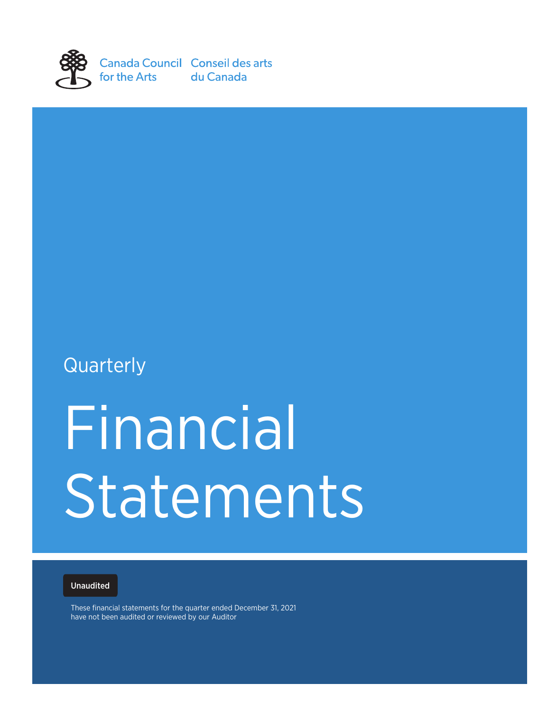

Canada Council Conseil des arts for the Arts du Canada

# **Quarterly**

# Financial Statements

# Unaudited

These financial statements for the quarter ended December 31, 2021 have not been audited or reviewed by our Auditor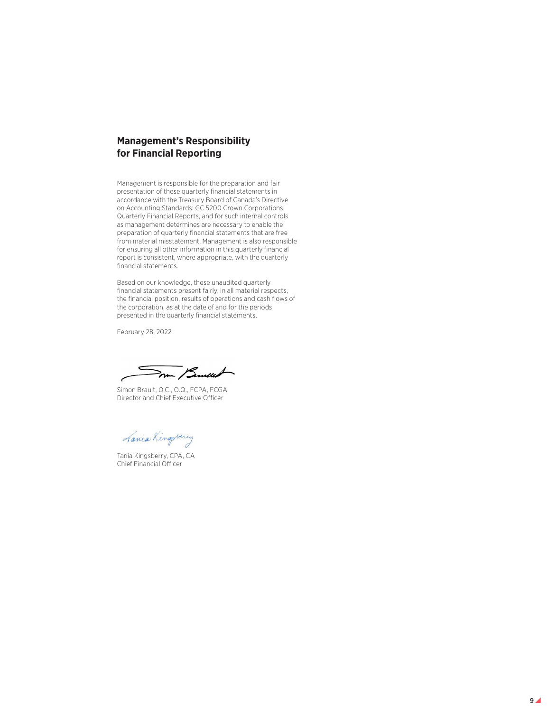# **Management's Responsibility for Financial Reporting**

Management is responsible for the preparation and fair presentation of these quarterly financial statements in accordance with the Treasury Board of Canada's Directive on Accounting Standards: GC 5200 Crown Corporations Quarterly Financial Reports, and for such internal controls as management determines are necessary to enable the preparation of quarterly financial statements that are free from material misstatement. Management is also responsible for ensuring all other information in this quarterly financial report is consistent, where appropriate, with the quarterly financial statements.

Based on our knowledge, these unaudited quarterly financial statements present fairly, in all material respects, the financial position, results of operations and cash flows of the corporation, as at the date of and for the periods presented in the quarterly financial statements.

February 28, 2022

mm / Smull

Simon Brault, O.C., O.Q., FCPA, FCGA Director and Chief Executive Officer

Jania Kingpoing

Tania Kingsberry, CPA, CA Chief Financial Officer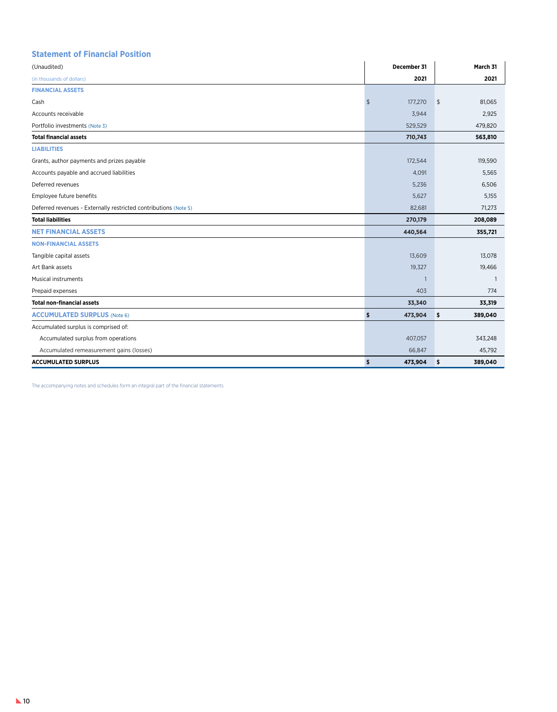# **Statement of Financial Position**

| (Unaudited)                                                      | December 31           | March 31                |
|------------------------------------------------------------------|-----------------------|-------------------------|
| (in thousands of dollars)                                        | 2021                  | 2021                    |
| <b>FINANCIAL ASSETS</b>                                          |                       |                         |
| Cash                                                             | 177,270<br>$\sqrt{2}$ | $\frac{1}{2}$<br>81,065 |
| Accounts receivable                                              | 3,944                 | 2,925                   |
| Portfolio investments (Note 3)                                   | 529,529               | 479,820                 |
| <b>Total financial assets</b>                                    | 710,743               | 563,810                 |
| <b>LIABILITIES</b>                                               |                       |                         |
| Grants, author payments and prizes payable                       | 172,544               | 119,590                 |
| Accounts payable and accrued liabilities                         | 4,091                 | 5,565                   |
| Deferred revenues                                                | 5,236                 | 6,506                   |
| Employee future benefits                                         | 5,627                 | 5,155                   |
| Deferred revenues - Externally restricted contributions (Note 5) | 82,681                | 71,273                  |
| <b>Total liabilities</b>                                         | 270,179               | 208,089                 |
| <b>NET FINANCIAL ASSETS</b>                                      | 440,564               | 355,721                 |
| <b>NON-FINANCIAL ASSETS</b>                                      |                       |                         |
| Tangible capital assets                                          | 13,609                | 13,078                  |
| Art Bank assets                                                  | 19,327                | 19,466                  |
| Musical instruments                                              | $\overline{1}$        |                         |
| Prepaid expenses                                                 | 403                   | 774                     |
| <b>Total non-financial assets</b>                                | 33,340                | 33,319                  |
| <b>ACCUMULATED SURPLUS (Note 6)</b>                              | \$<br>473,904         | \$<br>389,040           |
| Accumulated surplus is comprised of:                             |                       |                         |
| Accumulated surplus from operations                              | 407,057               | 343,248                 |
| Accumulated remeasurement gains (losses)                         | 66,847                | 45,792                  |
| <b>ACCUMULATED SURPLUS</b>                                       | \$<br>473,904         | 389,040<br>\$           |

The accompanying notes and schedules form an integral part of the financial statements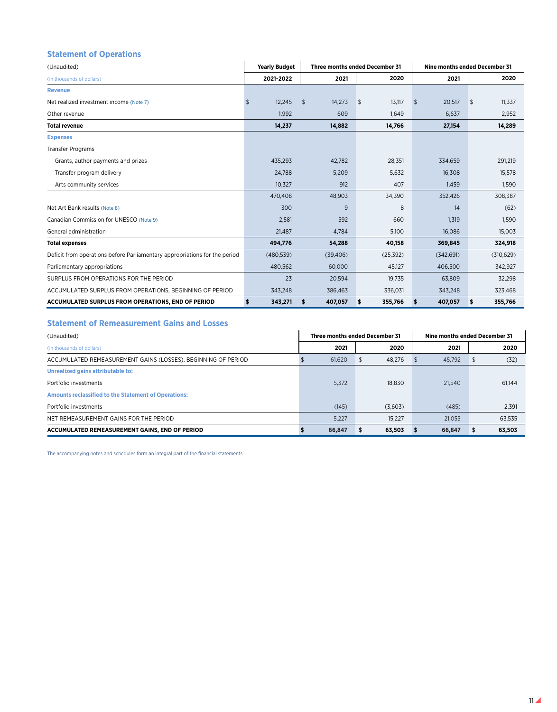# **Statement of Operations**

| (Unaudited)                                                                |                      | <b>Yearly Budget</b><br>Three months ended December 31 |                         | Nine months ended December 31 |               |  |  |
|----------------------------------------------------------------------------|----------------------|--------------------------------------------------------|-------------------------|-------------------------------|---------------|--|--|
| (in thousands of dollars)                                                  | 2021-2022            | 2021                                                   | 2020                    | 2021                          | 2020          |  |  |
| <b>Revenue</b>                                                             |                      |                                                        |                         |                               |               |  |  |
| Net realized investment income (Note 7)                                    | $\sqrt{2}$<br>12,245 | 14,273<br>\$                                           | $\sqrt[6]{2}$<br>13,117 | 20,517<br>$\sqrt{2}$          | \$<br>11,337  |  |  |
| Other revenue                                                              | 1,992                | 609                                                    | 1,649                   | 6,637                         | 2,952         |  |  |
| <b>Total revenue</b>                                                       | 14,237               | 14,882                                                 | 14,766                  | 27,154                        | 14,289        |  |  |
| <b>Expenses</b>                                                            |                      |                                                        |                         |                               |               |  |  |
| <b>Transfer Programs</b>                                                   |                      |                                                        |                         |                               |               |  |  |
| Grants, author payments and prizes                                         | 435,293              | 42,782                                                 | 28,351                  | 334,659                       | 291,219       |  |  |
| Transfer program delivery                                                  | 24.788               | 5,209                                                  | 5,632                   | 16,308                        | 15,578        |  |  |
| Arts community services                                                    | 10,327               | 912                                                    | 407                     | 1,459                         | 1,590         |  |  |
|                                                                            | 470,408              | 48,903                                                 | 34,390                  | 352,426                       | 308,387       |  |  |
| Net Art Bank results (Note 8)                                              | 300                  | 9                                                      | 8                       | 14                            | (62)          |  |  |
| Canadian Commission for UNESCO (Note 9)                                    | 2,581                | 592                                                    | 660                     | 1,319                         | 1,590         |  |  |
| General administration                                                     | 21,487               | 4,784                                                  | 5,100                   | 16,086                        | 15,003        |  |  |
| <b>Total expenses</b>                                                      | 494,776              | 54,288                                                 | 40,158                  | 369,845                       | 324,918       |  |  |
| Deficit from operations before Parliamentary appropriations for the period | (480, 539)           | (39, 406)                                              | (25, 392)               | (342, 691)                    | (310, 629)    |  |  |
| Parliamentary appropriations                                               | 480,562              | 60,000                                                 | 45,127                  | 406,500                       | 342,927       |  |  |
| SURPLUS FROM OPERATIONS FOR THE PERIOD                                     | 23                   | 20,594                                                 | 19,735                  | 63,809                        | 32,298        |  |  |
| ACCUMULATED SURPLUS FROM OPERATIONS, BEGINNING OF PERIOD                   | 343,248              | 386,463                                                | 336,031                 | 343,248                       | 323,468       |  |  |
| ACCUMULATED SURPLUS FROM OPERATIONS, END OF PERIOD                         | \$<br>343,271        | 407,057<br>\$                                          | \$<br>355,766           | $\mathbf{s}$<br>407,057       | \$<br>355,766 |  |  |

# **Statement of Remeasurement Gains and Losses**

| (Unaudited)                                                   | Three months ended December 31 |        |  | Nine months ended December 31 |  |        |  |        |
|---------------------------------------------------------------|--------------------------------|--------|--|-------------------------------|--|--------|--|--------|
| (in thousands of dollars)                                     |                                | 2021   |  | 2020                          |  | 2021   |  | 2020   |
| ACCUMULATED REMEASUREMENT GAINS (LOSSES). BEGINNING OF PERIOD |                                | 61.620 |  | 48.276                        |  | 45.792 |  | (32)   |
| Unrealized gains attributable to:                             |                                |        |  |                               |  |        |  |        |
| Portfolio investments                                         |                                | 5.372  |  | 18.830                        |  | 21.540 |  | 61.144 |
| <b>Amounts reclassified to the Statement of Operations:</b>   |                                |        |  |                               |  |        |  |        |
| Portfolio investments                                         |                                | (145)  |  | (3,603)                       |  | (485)  |  | 2,391  |
| NET REMEASUREMENT GAINS FOR THE PERIOD                        |                                | 5.227  |  | 15.227                        |  | 21.055 |  | 63,535 |
| ACCUMULATED REMEASUREMENT GAINS, END OF PERIOD                |                                | 66,847 |  | 63,503                        |  | 66,847 |  | 63,503 |

The accompanying notes and schedules form an integral part of the financial statements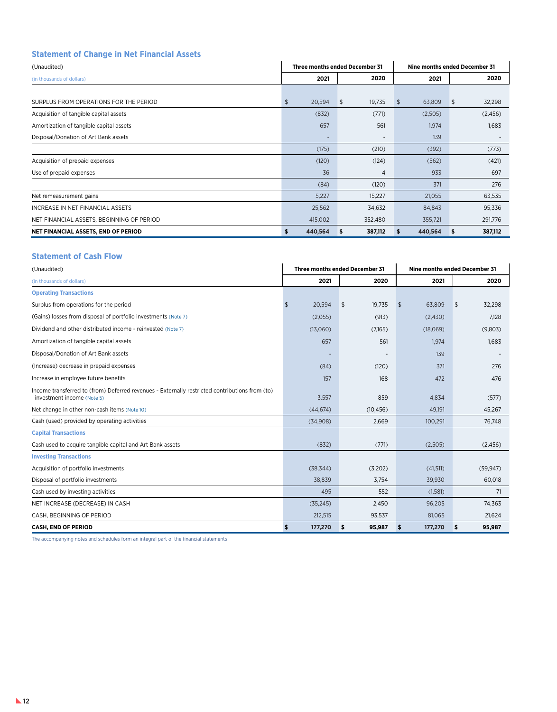# **Statement of Change in Net Financial Assets**

| (Unaudited)                               |                          | Three months ended December 31 | Nine months ended December 31 |               |  |  |
|-------------------------------------------|--------------------------|--------------------------------|-------------------------------|---------------|--|--|
| (in thousands of dollars)                 | 2021                     | 2020                           | 2021                          | 2020          |  |  |
|                                           |                          |                                |                               |               |  |  |
| SURPLUS FROM OPERATIONS FOR THE PERIOD    | 20,594<br>\$             | 19,735<br>\$                   | 63,809<br>\$                  | 32,298<br>\$  |  |  |
| Acquisition of tangible capital assets    | (832)                    | (771)                          | (2,505)                       | (2,456)       |  |  |
| Amortization of tangible capital assets   | 657                      | 561                            | 1,974                         | 1,683         |  |  |
| Disposal/Donation of Art Bank assets      | $\overline{\phantom{a}}$ | $\overline{\phantom{a}}$       | 139                           |               |  |  |
|                                           | (175)                    | (210)                          | (392)                         | (773)         |  |  |
| Acquisition of prepaid expenses           | (120)                    | (124)                          | (562)                         | (421)         |  |  |
| Use of prepaid expenses                   | 36                       | 4                              | 933                           | 697           |  |  |
|                                           | (84)                     | (120)                          | 371                           | 276           |  |  |
| Net remeasurement gains                   | 5,227                    | 15,227                         | 21,055                        | 63,535        |  |  |
| INCREASE IN NET FINANCIAL ASSETS          | 25,562                   | 34,632                         | 84,843                        | 95,336        |  |  |
| NET FINANCIAL ASSETS, BEGINNING OF PERIOD | 415,002                  | 352,480                        | 355,721                       | 291,776       |  |  |
| NET FINANCIAL ASSETS, END OF PERIOD       | 440,564<br>s             | 387,112<br>5                   | 440,564<br>5                  | 387,112<br>\$ |  |  |

#### **Statement of Cash Flow**

| (Unaudited)                                                                                                                  | Three months ended December 31 |              |                | Nine months ended December 31 |              |  |
|------------------------------------------------------------------------------------------------------------------------------|--------------------------------|--------------|----------------|-------------------------------|--------------|--|
| (in thousands of dollars)                                                                                                    | 2021                           | 2020         |                | 2021                          | 2020         |  |
| <b>Operating Transactions</b>                                                                                                |                                |              |                |                               |              |  |
| Surplus from operations for the period                                                                                       | \$<br>20,594                   | \$<br>19.735 | $\mathfrak{S}$ | 63,809                        | \$<br>32.298 |  |
| (Gains) losses from disposal of portfolio investments (Note 7)                                                               | (2,055)                        | (913)        |                | (2,430)                       | 7,128        |  |
| Dividend and other distributed income - reinvested (Note 7)                                                                  | (13,060)                       | (7,165)      |                | (18,069)                      | (9,803)      |  |
| Amortization of tangible capital assets                                                                                      | 657                            | 561          |                | 1.974                         | 1,683        |  |
| Disposal/Donation of Art Bank assets                                                                                         |                                |              |                | 139                           |              |  |
| (Increase) decrease in prepaid expenses                                                                                      | (84)                           | (120)        |                | 371                           | 276          |  |
| Increase in employee future benefits                                                                                         | 157                            | 168          |                | 472                           | 476          |  |
| Income transferred to (from) Deferred revenues - Externally restricted contributions from (to)<br>investment income (Note 5) | 3,557                          | 859          |                | 4,834                         | (577)        |  |
| Net change in other non-cash items (Note 10)                                                                                 | (44, 674)                      | (10, 456)    |                | 49.191                        | 45,267       |  |
| Cash (used) provided by operating activities                                                                                 | (34,908)                       | 2,669        |                | 100,291                       | 76,748       |  |
| <b>Capital Transactions</b>                                                                                                  |                                |              |                |                               |              |  |
| Cash used to acquire tangible capital and Art Bank assets                                                                    | (832)                          | (771)        |                | (2,505)                       | (2, 456)     |  |
| <b>Investing Transactions</b>                                                                                                |                                |              |                |                               |              |  |
| Acquisition of portfolio investments                                                                                         | (38, 344)                      | (3,202)      |                | (41,511)                      | (59, 947)    |  |
| Disposal of portfolio investments                                                                                            | 38,839                         | 3,754        |                | 39,930                        | 60,018       |  |
| Cash used by investing activities                                                                                            | 495                            | 552          |                | (1,581)                       | 71           |  |
| NET INCREASE (DECREASE) IN CASH                                                                                              | (35, 245)                      | 2,450        |                | 96,205                        | 74,363       |  |
| CASH, BEGINNING OF PERIOD                                                                                                    | 212,515                        | 93,537       |                | 81,065                        | 21,624       |  |
| <b>CASH, END OF PERIOD</b>                                                                                                   | \$<br>177,270                  | \$<br>95,987 | \$             | 177,270                       | \$<br>95,987 |  |

The accompanying notes and schedules form an integral part of the financial statements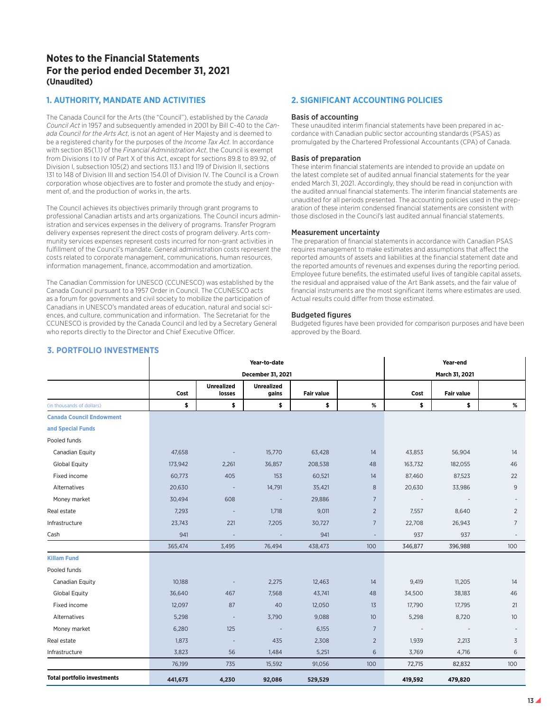# **Notes to the Financial Statements For the period ended December 31, 2021 (Unaudited)**

# **1. AUTHORITY, MANDATE AND ACTIVITIES**

The Canada Council for the Arts (the "Council"), established by the *Canada Council Act* in 1957 and subsequently amended in 2001 by Bill C-40 to the *Canada Council for the Arts Act*, is not an agent of Her Majesty and is deemed to be a registered charity for the purposes of the *Income Tax Act*. In accordance with section 85(1.1) of the *Financial Administration Act*, the Council is exempt from Divisions I to IV of Part X of this Act, except for sections 89.8 to 89.92, of Division I, subsection 105(2) and sections 113.1 and 119 of Division II, sections 131 to 148 of Division III and section 154.01 of Division IV. The Council is a Crown corporation whose objectives are to foster and promote the study and enjoyment of, and the production of works in, the arts.

The Council achieves its objectives primarily through grant programs to professional Canadian artists and arts organizations. The Council incurs administration and services expenses in the delivery of programs. Transfer Program delivery expenses represent the direct costs of program delivery. Arts community services expenses represent costs incurred for non-grant activities in fulfillment of the Council's mandate. General administration costs represent the costs related to corporate management, communications, human resources, information management, finance, accommodation and amortization.

The Canadian Commission for UNESCO (CCUNESCO) was established by the Canada Council pursuant to a 1957 Order in Council. The CCUNESCO acts as a forum for governments and civil society to mobilize the participation of Canadians in UNESCO's mandated areas of education, natural and social sciences, and culture, communication and information. The Secretariat for the CCUNESCO is provided by the Canada Council and led by a Secretary General who reports directly to the Director and Chief Executive Officer.

## **2. SIGNIFICANT ACCOUNTING POLICIES**

#### Basis of accounting

These unaudited interim financial statements have been prepared in accordance with Canadian public sector accounting standards (PSAS) as promulgated by the Chartered Professional Accountants (CPA) of Canada.

#### Basis of preparation

These interim financial statements are intended to provide an update on the latest complete set of audited annual financial statements for the year ended March 31, 2021. Accordingly, they should be read in conjunction with the audited annual financial statements. The interim financial statements are unaudited for all periods presented. The accounting policies used in the preparation of these interim condensed financial statements are consistent with those disclosed in the Council's last audited annual financial statements.

#### Measurement uncertainty

The preparation of financial statements in accordance with Canadian PSAS requires management to make estimates and assumptions that affect the reported amounts of assets and liabilities at the financial statement date and the reported amounts of revenues and expenses during the reporting period. Employee future benefits, the estimated useful lives of tangible capital assets, the residual and appraised value of the Art Bank assets, and the fair value of financial instruments are the most significant items where estimates are used. Actual results could differ from those estimated.

#### Budgeted figures

Budgeted figures have been provided for comparison purposes and have been approved by the Board.

# **3. PORTFOLIO INVESTMENTS**

|                                    |         |                             | December 31, 2021          |                   |                          |         | March 31, 2021    |                          |
|------------------------------------|---------|-----------------------------|----------------------------|-------------------|--------------------------|---------|-------------------|--------------------------|
|                                    | Cost    | <b>Unrealized</b><br>losses | <b>Unrealized</b><br>gains | <b>Fair value</b> |                          | Cost    | <b>Fair value</b> |                          |
| (in thousands of dollars)          | \$      | \$                          | \$                         | \$                | %                        | \$      | \$                | $\%$                     |
| <b>Canada Council Endowment</b>    |         |                             |                            |                   |                          |         |                   |                          |
| and Special Funds                  |         |                             |                            |                   |                          |         |                   |                          |
| Pooled funds                       |         |                             |                            |                   |                          |         |                   |                          |
| Canadian Equity                    | 47,658  | $\overline{\phantom{a}}$    | 15,770                     | 63,428            | 14                       | 43,853  | 56,904            | 14                       |
| <b>Global Equity</b>               | 173,942 | 2,261                       | 36,857                     | 208,538           | 48                       | 163,732 | 182,055           | 46                       |
| Fixed income                       | 60,773  | 405                         | 153                        | 60,521            | 14                       | 87,460  | 87,523            | 22                       |
| Alternatives                       | 20,630  | $\overline{\phantom{a}}$    | 14,791                     | 35,421            | 8                        | 20,630  | 33,986            | 9                        |
| Money market                       | 30,494  | 608                         |                            | 29,886            | $\overline{7}$           |         |                   |                          |
| Real estate                        | 7,293   | $\overline{\phantom{a}}$    | 1,718                      | 9,011             | 2                        | 7,557   | 8,640             | 2                        |
| Infrastructure                     | 23,743  | 221                         | 7,205                      | 30,727            | $7\overline{ }$          | 22,708  | 26,943            | $\overline{7}$           |
| Cash                               | 941     | $\overline{a}$              |                            | 941               | $\overline{\phantom{a}}$ | 937     | 937               | $\overline{\phantom{a}}$ |
|                                    | 365,474 | 3,495                       | 76,494                     | 438,473           | 100                      | 346,877 | 396,988           | 100                      |
| <b>Killam Fund</b>                 |         |                             |                            |                   |                          |         |                   |                          |
| Pooled funds                       |         |                             |                            |                   |                          |         |                   |                          |
| Canadian Equity                    | 10,188  |                             | 2,275                      | 12,463            | 14                       | 9,419   | 11,205            | 14                       |
| <b>Global Equity</b>               | 36,640  | 467                         | 7,568                      | 43,741            | 48                       | 34,500  | 38,183            | 46                       |
| Fixed income                       | 12,097  | 87                          | 40                         | 12,050            | 13                       | 17,790  | 17,795            | 21                       |
| Alternatives                       | 5,298   | $\overline{\phantom{a}}$    | 3,790                      | 9,088             | 10 <sup>°</sup>          | 5,298   | 8,720             | 10 <sup>°</sup>          |
| Money market                       | 6,280   | 125                         |                            | 6,155             | $\overline{7}$           |         |                   |                          |
| Real estate                        | 1,873   | $\overline{\phantom{a}}$    | 435                        | 2,308             | $\overline{2}$           | 1,939   | 2,213             | 3                        |
| Infrastructure                     | 3,823   | 56                          | 1,484                      | 5,251             | 6                        | 3,769   | 4,716             | 6                        |
|                                    | 76.199  | 735                         | 15,592                     | 91,056            | 100                      | 72,715  | 82,832            | 100                      |
| <b>Total portfolio investments</b> | 441,673 | 4,230                       | 92,086                     | 529,529           |                          | 419,592 | 479,820           |                          |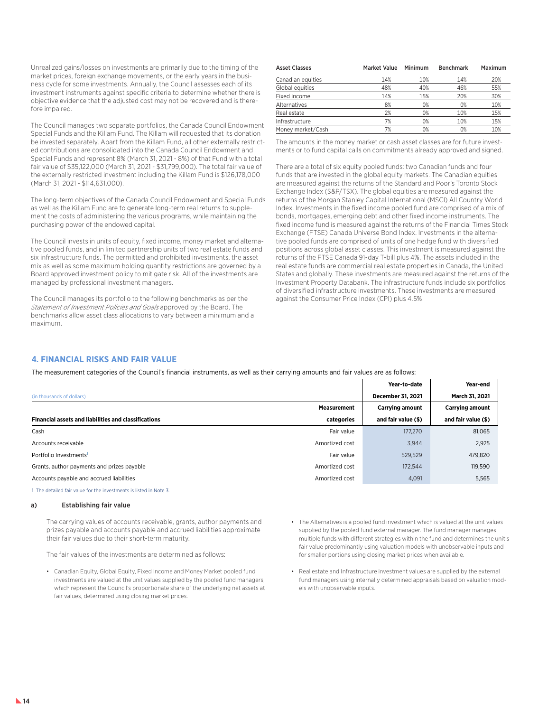Unrealized gains/losses on investments are primarily due to the timing of the market prices, foreign exchange movements, or the early years in the business cycle for some investments. Annually, the Council assesses each of its investment instruments against specific criteria to determine whether there is objective evidence that the adjusted cost may not be recovered and is therefore impaired.

The Council manages two separate portfolios, the Canada Council Endowment Special Funds and the Killam Fund. The Killam will requested that its donation be invested separately. Apart from the Killam Fund, all other externally restricted contributions are consolidated into the Canada Council Endowment and Special Funds and represent 8% (March 31, 2021 - 8%) of that Fund with a total fair value of \$35,122,000 (March 31, 2021 - \$31,799,000). The total fair value of the externally restricted investment including the Killam Fund is \$126,178,000 (March 31, 2021 - \$114,631,000).

The long-term objectives of the Canada Council Endowment and Special Funds as well as the Killam Fund are to generate long-term real returns to supplement the costs of administering the various programs, while maintaining the purchasing power of the endowed capital.

The Council invests in units of equity, fixed income, money market and alternative pooled funds, and in limited partnership units of two real estate funds and six infrastructure funds. The permitted and prohibited investments, the asset mix as well as some maximum holding quantity restrictions are governed by a Board approved investment policy to mitigate risk. All of the investments are managed by professional investment managers.

The Council manages its portfolio to the following benchmarks as per the *Statement of Investment Policies and Goals* approved by the Board. The benchmarks allow asset class allocations to vary between a minimum and a maximum.

| <b>Asset Classes</b> | Market Value | Minimum | <b>Benchmark</b> | Maximum |
|----------------------|--------------|---------|------------------|---------|
| Canadian equities    | 14%          | 10%     | 14%              | 20%     |
| Global equities      | 48%          | 40%     | 46%              | 55%     |
| Fixed income         | 14%          | 15%     | 20%              | 30%     |
| Alternatives         | 8%           | 0%      | 0%               | 10%     |
| Real estate          | 2%           | 0%      | 10%              | 15%     |
| Infrastructure       | 7%           | 0%      | 10%              | 15%     |
| Money market/Cash    | 7%           | 0%      | 0%               | 10%     |

The amounts in the money market or cash asset classes are for future investments or to fund capital calls on commitments already approved and signed.

There are a total of six equity pooled funds: two Canadian funds and four funds that are invested in the global equity markets. The Canadian equities are measured against the returns of the Standard and Poor's Toronto Stock Exchange Index (S&P/TSX). The global equities are measured against the returns of the Morgan Stanley Capital International (MSCI) All Country World Index. Investments in the fixed income pooled fund are comprised of a mix of bonds, mortgages, emerging debt and other fixed income instruments. The fixed income fund is measured against the returns of the Financial Times Stock Exchange (FTSE) Canada Universe Bond Index. Investments in the alternative pooled funds are comprised of units of one hedge fund with diversified positions across global asset classes. This investment is measured against the returns of the FTSE Canada 91-day T-bill plus 4%. The assets included in the real estate funds are commercial real estate properties in Canada, the United States and globally. These investments are measured against the returns of the Investment Property Databank. The infrastructure funds include six portfolios of diversified infrastructure investments. These investments are measured against the Consumer Price Index (CPI) plus 4.5%.

# **4. FINANCIAL RISKS AND FAIR VALUE**

The measurement categories of the Council's financial instruments, as well as their carrying amounts and fair values are as follows:

|                                                             |                    | Year-to-date             | Year-end               |
|-------------------------------------------------------------|--------------------|--------------------------|------------------------|
| (in thousands of dollars)                                   |                    | <b>December 31, 2021</b> | March 31, 2021         |
|                                                             | <b>Measurement</b> | <b>Carrying amount</b>   | <b>Carrying amount</b> |
| <b>Financial assets and liabilities and classifications</b> | categories         | and fair value (\$)      | and fair value (\$)    |
| Cash                                                        | Fair value         | 177,270                  | 81,065                 |
| Accounts receivable                                         | Amortized cost     | 3,944                    | 2,925                  |
| Portfolio Investments <sup>1</sup>                          | Fair value         | 529,529                  | 479,820                |
| Grants, author payments and prizes payable                  | Amortized cost     | 172.544                  | 119,590                |
| Accounts payable and accrued liabilities                    | Amortized cost     | 4,091                    | 5,565                  |

1 The detailed fair value for the investments is listed in Note 3.

#### a) Establishing fair value

The carrying values of accounts receivable, grants, author payments and prizes payable and accounts payable and accrued liabilities approximate their fair values due to their short-term maturity.

The fair values of the investments are determined as follows:

- Canadian Equity, Global Equity, Fixed Income and Money Market pooled fund investments are valued at the unit values supplied by the pooled fund managers, which represent the Council's proportionate share of the underlying net assets at fair values, determined using closing market prices.
- The Alternatives is a pooled fund investment which is valued at the unit values supplied by the pooled fund external manager. The fund manager manages multiple funds with different strategies within the fund and determines the unit's fair value predominantly using valuation models with unobservable inputs and for smaller portions using closing market prices when available.
- Real estate and Infrastructure investment values are supplied by the external fund managers using internally determined appraisals based on valuation models with unobservable inputs.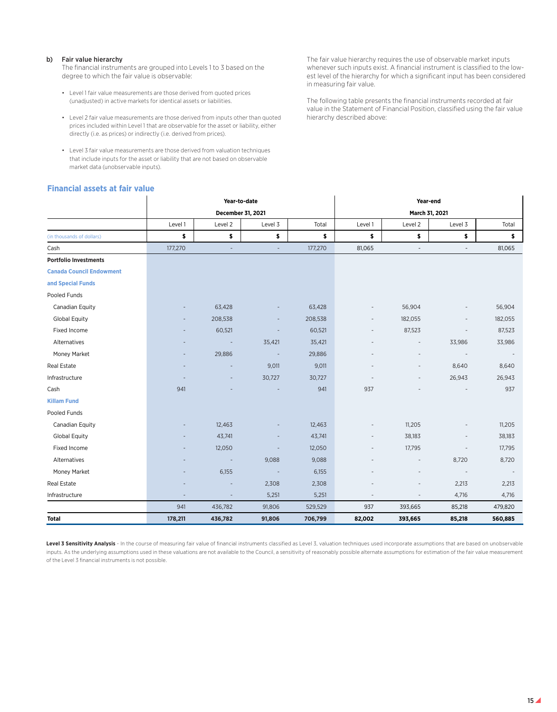#### b) Fair value hierarchy

The financial instruments are grouped into Levels 1 to 3 based on the degree to which the fair value is observable:

- Level 1 fair value measurements are those derived from quoted prices (unadjusted) in active markets for identical assets or liabilities.
- Level 2 fair value measurements are those derived from inputs other than quoted prices included within Level 1 that are observable for the asset or liability, either directly (i.e. as prices) or indirectly (i.e. derived from prices).
- Level 3 fair value measurements are those derived from valuation techniques that include inputs for the asset or liability that are not based on observable market data (unobservable inputs).

# **Financial assets at fair value**

The fair value hierarchy requires the use of observable market inputs whenever such inputs exist. A financial instrument is classified to the lowest level of the hierarchy for which a significant input has been considered in measuring fair value.

The following table presents the financial instruments recorded at fair value in the Statement of Financial Position, classified using the fair value hierarchy described above:

|                                 |         | Year-to-date             |                              | Year-end |                          |                          |                          |                          |  |  |  |
|---------------------------------|---------|--------------------------|------------------------------|----------|--------------------------|--------------------------|--------------------------|--------------------------|--|--|--|
|                                 |         | December 31, 2021        |                              |          |                          | March 31, 2021           |                          |                          |  |  |  |
|                                 | Level 1 | Level 2                  | Level 3                      | Total    | Level 1                  | Level 2                  | Level 3                  | Total                    |  |  |  |
| (in thousands of dollars)       | \$      | \$                       | \$<br>\$                     |          | \$                       | \$                       | \$                       | \$                       |  |  |  |
| Cash                            | 177,270 | $\overline{\phantom{a}}$ | $\overline{\phantom{a}}$     | 177,270  | 81,065                   | $\overline{\phantom{a}}$ | $\overline{\phantom{a}}$ | 81,065                   |  |  |  |
| <b>Portfolio Investments</b>    |         |                          |                              |          |                          |                          |                          |                          |  |  |  |
| <b>Canada Council Endowment</b> |         |                          |                              |          |                          |                          |                          |                          |  |  |  |
| and Special Funds               |         |                          |                              |          |                          |                          |                          |                          |  |  |  |
| Pooled Funds                    |         |                          |                              |          |                          |                          |                          |                          |  |  |  |
| Canadian Equity                 |         | 63,428                   |                              | 63,428   | $\overline{\phantom{a}}$ | 56,904                   |                          | 56,904                   |  |  |  |
| <b>Global Equity</b>            |         | 208,538                  | $\qquad \qquad \blacksquare$ | 208,538  | $\overline{\phantom{0}}$ | 182,055                  |                          | 182,055                  |  |  |  |
| Fixed Income                    |         | 60,521                   |                              | 60,521   |                          | 87,523                   |                          | 87,523                   |  |  |  |
| Alternatives                    |         | $\frac{1}{2}$            | 35,421                       | 35,421   |                          |                          | 33,986                   | 33,986                   |  |  |  |
| Money Market                    |         | 29,886                   | $\overline{\phantom{a}}$     | 29,886   |                          | $\overline{\phantom{a}}$ |                          | $\overline{\phantom{a}}$ |  |  |  |
| Real Estate                     |         |                          | 9,011                        | 9,011    |                          |                          | 8,640                    | 8,640                    |  |  |  |
| Infrastructure                  |         |                          | 30,727                       | 30,727   |                          |                          | 26,943                   | 26,943                   |  |  |  |
| Cash                            | 941     |                          |                              | 941      | 937                      |                          |                          | 937                      |  |  |  |
| <b>Killam Fund</b>              |         |                          |                              |          |                          |                          |                          |                          |  |  |  |
| Pooled Funds                    |         |                          |                              |          |                          |                          |                          |                          |  |  |  |
| Canadian Equity                 |         | 12,463                   |                              | 12,463   |                          | 11,205                   |                          | 11,205                   |  |  |  |
| Global Equity                   |         | 43,741                   |                              | 43,741   |                          | 38,183                   |                          | 38,183                   |  |  |  |
| Fixed Income                    |         | 12,050                   |                              | 12,050   |                          | 17,795                   |                          | 17,795                   |  |  |  |
| Alternatives                    |         |                          | 9,088                        | 9,088    |                          |                          | 8,720                    | 8,720                    |  |  |  |
| Money Market                    |         | 6,155                    |                              | 6,155    |                          |                          |                          |                          |  |  |  |
| Real Estate                     |         |                          | 2,308                        | 2,308    |                          |                          | 2,213                    | 2,213                    |  |  |  |
| Infrastructure                  |         |                          | 5,251                        | 5,251    | $\overline{\phantom{a}}$ |                          | 4,716                    | 4,716                    |  |  |  |
|                                 | 941     | 436,782                  | 91,806                       | 529,529  | 937                      | 393,665                  | 85,218                   | 479,820                  |  |  |  |
| <b>Total</b>                    | 178,211 | 436,782                  | 91,806                       | 706,799  | 82,002                   | 393,665                  | 85,218                   | 560,885                  |  |  |  |

Level 3 Sensitivity Analysis - In the course of measuring fair value of financial instruments classified as Level 3, valuation techniques used incorporate assumptions that are based on unobservable inputs. As the underlying assumptions used in these valuations are not available to the Council, a sensitivity of reasonably possible alternate assumptions for estimation of the fair value measurement of the Level 3 financial instruments is not possible.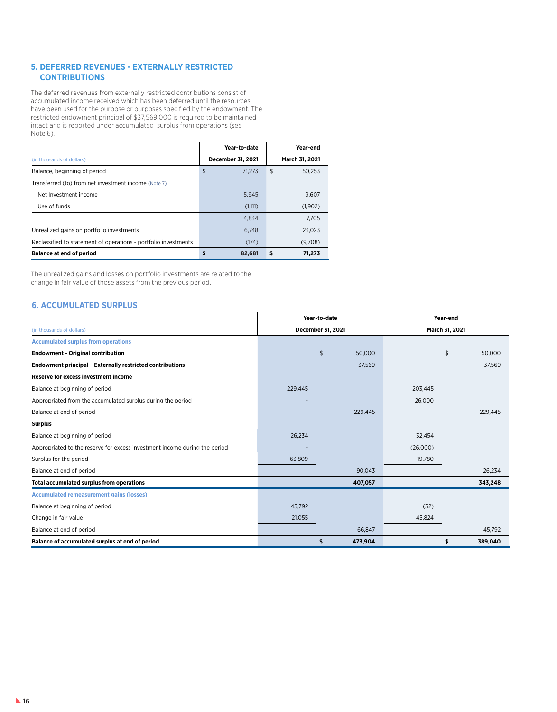# **5. DEFERRED REVENUES - EXTERNALLY RESTRICTED CONTRIBUTIONS**

The deferred revenues from externally restricted contributions consist of accumulated income received which has been deferred until the resources have been used for the purpose or purposes specified by the endowment. The restricted endowment principal of \$37,569,000 is required to be maintained intact and is reported under accumulated surplus from operations (see Note 6).

|                                                                 | Year-to-date      |    | Year-end       |
|-----------------------------------------------------------------|-------------------|----|----------------|
| (in thousands of dollars)                                       | December 31, 2021 |    | March 31, 2021 |
| Balance, beginning of period                                    | \$<br>71.273      | \$ | 50.253         |
| Transferred (to) from net investment income (Note 7)            |                   |    |                |
| Net Investment income                                           | 5.945             |    | 9.607          |
| Use of funds                                                    | (1,111)           |    | (1,902)        |
|                                                                 | 4.834             |    | 7.705          |
| Unrealized gains on portfolio investments                       | 6.748             |    | 23.023         |
| Reclassified to statement of operations - portfolio investments | (174)             |    | (9,708)        |
| <b>Balance at end of period</b>                                 | 82,681            | S  | 71,273         |

The unrealized gains and losses on portfolio investments are related to the change in fair value of those assets from the previous period.

# **6. ACCUMULATED SURPLUS**

|                                                                            |         | Year-to-date            | Year-end       |    |         |  |
|----------------------------------------------------------------------------|---------|-------------------------|----------------|----|---------|--|
| (in thousands of dollars)                                                  |         | December 31, 2021       | March 31, 2021 |    |         |  |
| <b>Accumulated surplus from operations</b>                                 |         |                         |                |    |         |  |
| <b>Endowment - Original contribution</b>                                   |         | $\frac{2}{3}$<br>50,000 |                | \$ | 50,000  |  |
| <b>Endowment principal - Externally restricted contributions</b>           |         | 37,569                  |                |    | 37,569  |  |
| <b>Reserve for excess investment income</b>                                |         |                         |                |    |         |  |
| Balance at beginning of period                                             | 229,445 |                         | 203,445        |    |         |  |
| Appropriated from the accumulated surplus during the period                |         |                         | 26,000         |    |         |  |
| Balance at end of period                                                   |         | 229,445                 |                |    | 229,445 |  |
| <b>Surplus</b>                                                             |         |                         |                |    |         |  |
| Balance at beginning of period                                             | 26,234  |                         | 32,454         |    |         |  |
| Appropriated to the reserve for excess investment income during the period |         |                         | (26,000)       |    |         |  |
| Surplus for the period                                                     | 63,809  |                         | 19,780         |    |         |  |
| Balance at end of period                                                   |         | 90,043                  |                |    | 26,234  |  |
| Total accumulated surplus from operations                                  |         | 407,057                 |                |    | 343,248 |  |
| <b>Accumulated remeasurement gains (losses)</b>                            |         |                         |                |    |         |  |
| Balance at beginning of period                                             | 45,792  |                         | (32)           |    |         |  |
| Change in fair value                                                       | 21,055  |                         | 45,824         |    |         |  |
| Balance at end of period                                                   |         | 66,847                  |                |    | 45,792  |  |
| Balance of accumulated surplus at end of period                            |         | \$<br>473,904           |                | \$ | 389,040 |  |